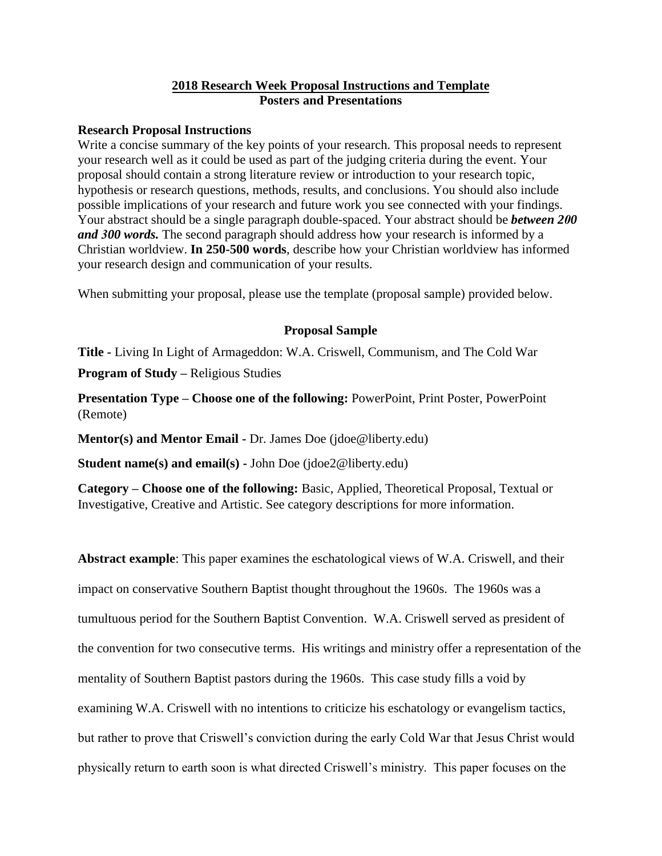## **2018 Research Week Proposal Instructions and Template Posters and Presentations**

## **Research Proposal Instructions**

Write a concise summary of the key points of your research. This proposal needs to represent your research well as it could be used as part of the judging criteria during the event. Your proposal should contain a strong literature review or introduction to your research topic, hypothesis or research questions, methods, results, and conclusions. You should also include possible implications of your research and future work you see connected with your findings. Your abstract should be a single paragraph double-spaced. Your abstract should be *between 200 and 300 words.* The second paragraph should address how your research is informed by a Christian worldview. **In 250-500 words**, describe how your Christian worldview has informed your research design and communication of your results.

When submitting your proposal, please use the template (proposal sample) provided below.

## **Proposal Sample**

**Title -** Living In Light of Armageddon: W.A. Criswell, Communism, and The Cold War

**Program of Study –** Religious Studies

**Presentation Type – Choose one of the following: PowerPoint, Print Poster, PowerPoint** (Remote)

**Mentor(s) and Mentor Email -** Dr. James Doe (jdoe@liberty.edu)

**Student name(s) and email(s) -** John Doe (jdoe2@liberty.edu)

**Category – Choose one of the following:** Basic, Applied, Theoretical Proposal, Textual or Investigative, Creative and Artistic. See category descriptions for more information.

**Abstract example**: This paper examines the eschatological views of W.A. Criswell, and their impact on conservative Southern Baptist thought throughout the 1960s. The 1960s was a tumultuous period for the Southern Baptist Convention. W.A. Criswell served as president of the convention for two consecutive terms. His writings and ministry offer a representation of the mentality of Southern Baptist pastors during the 1960s. This case study fills a void by examining W.A. Criswell with no intentions to criticize his eschatology or evangelism tactics, but rather to prove that Criswell's conviction during the early Cold War that Jesus Christ would physically return to earth soon is what directed Criswell's ministry. This paper focuses on the